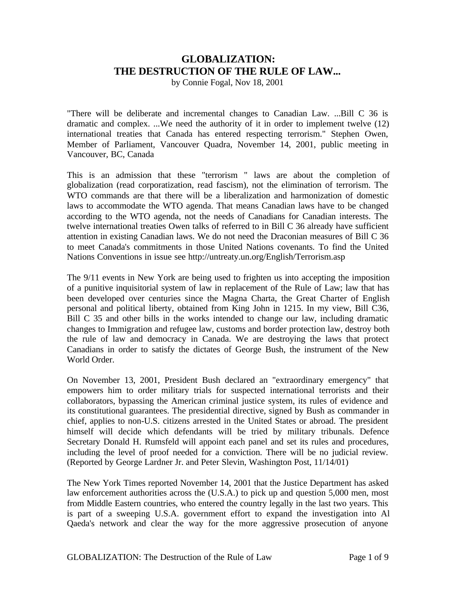## **GLOBALIZATION: THE DESTRUCTION OF THE RULE OF LAW...**

by Connie Fogal, Nov 18, 2001

"There will be deliberate and incremental changes to Canadian Law. ...Bill C 36 is dramatic and complex. ...We need the authority of it in order to implement twelve (12) international treaties that Canada has entered respecting terrorism." Stephen Owen, Member of Parliament, Vancouver Quadra, November 14, 2001, public meeting in Vancouver, BC, Canada

This is an admission that these "terrorism " laws are about the completion of globalization (read corporatization, read fascism), not the elimination of terrorism. The WTO commands are that there will be a liberalization and harmonization of domestic laws to accommodate the WTO agenda. That means Canadian laws have to be changed according to the WTO agenda, not the needs of Canadians for Canadian interests. The twelve international treaties Owen talks of referred to in Bill C 36 already have sufficient attention in existing Canadian laws. We do not need the Draconian measures of Bill C 36 to meet Canada's commitments in those United Nations covenants. To find the United Nations Conventions in issue see http://untreaty.un.org/English/Terrorism.asp

The 9/11 events in New York are being used to frighten us into accepting the imposition of a punitive inquisitorial system of law in replacement of the Rule of Law; law that has been developed over centuries since the Magna Charta, the Great Charter of English personal and political liberty, obtained from King John in 1215. In my view, Bill C36, Bill C 35 and other bills in the works intended to change our law, including dramatic changes to Immigration and refugee law, customs and border protection law, destroy both the rule of law and democracy in Canada. We are destroying the laws that protect Canadians in order to satisfy the dictates of George Bush, the instrument of the New World Order.

On November 13, 2001, President Bush declared an "extraordinary emergency" that empowers him to order military trials for suspected international terrorists and their collaborators, bypassing the American criminal justice system, its rules of evidence and its constitutional guarantees. The presidential directive, signed by Bush as commander in chief, applies to non-U.S. citizens arrested in the United States or abroad. The president himself will decide which defendants will be tried by military tribunals. Defence Secretary Donald H. Rumsfeld will appoint each panel and set its rules and procedures, including the level of proof needed for a conviction. There will be no judicial review. (Reported by George Lardner Jr. and Peter Slevin, Washington Post, 11/14/01)

The New York Times reported November 14, 2001 that the Justice Department has asked law enforcement authorities across the (U.S.A.) to pick up and question 5,000 men, most from Middle Eastern countries, who entered the country legally in the last two years. This is part of a sweeping U.S.A. government effort to expand the investigation into Al Qaeda's network and clear the way for the more aggressive prosecution of anyone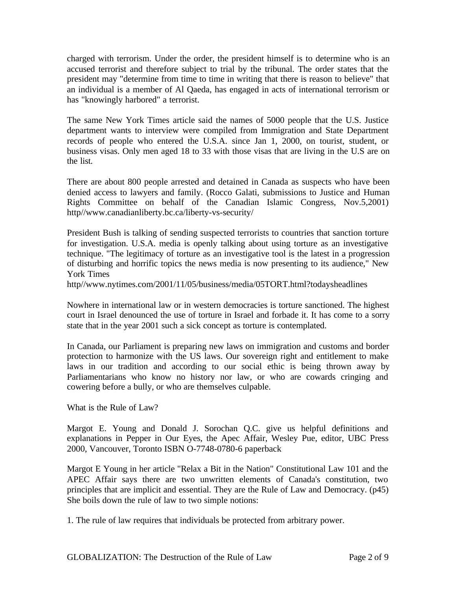charged with terrorism. Under the order, the president himself is to determine who is an accused terrorist and therefore subject to trial by the tribunal. The order states that the president may "determine from time to time in writing that there is reason to believe" that an individual is a member of Al Qaeda, has engaged in acts of international terrorism or has "knowingly harbored" a terrorist.

The same New York Times article said the names of 5000 people that the U.S. Justice department wants to interview were compiled from Immigration and State Department records of people who entered the U.S.A. since Jan 1, 2000, on tourist, student, or business visas. Only men aged 18 to 33 with those visas that are living in the U.S are on the list.

There are about 800 people arrested and detained in Canada as suspects who have been denied access to lawyers and family. (Rocco Galati, submissions to Justice and Human Rights Committee on behalf of the Canadian Islamic Congress, Nov.5,2001) http//www.canadianliberty.bc.ca/liberty-vs-security/

President Bush is talking of sending suspected terrorists to countries that sanction torture for investigation. U.S.A. media is openly talking about using torture as an investigative technique. "The legitimacy of torture as an investigative tool is the latest in a progression of disturbing and horrific topics the news media is now presenting to its audience," New York Times

http//www.nytimes.com/2001/11/05/business/media/05TORT.html?todaysheadlines

Nowhere in international law or in western democracies is torture sanctioned. The highest court in Israel denounced the use of torture in Israel and forbade it. It has come to a sorry state that in the year 2001 such a sick concept as torture is contemplated.

In Canada, our Parliament is preparing new laws on immigration and customs and border protection to harmonize with the US laws. Our sovereign right and entitlement to make laws in our tradition and according to our social ethic is being thrown away by Parliamentarians who know no history nor law, or who are cowards cringing and cowering before a bully, or who are themselves culpable.

What is the Rule of Law?

Margot E. Young and Donald J. Sorochan Q.C. give us helpful definitions and explanations in Pepper in Our Eyes, the Apec Affair, Wesley Pue, editor, UBC Press 2000, Vancouver, Toronto ISBN O-7748-0780-6 paperback

Margot E Young in her article "Relax a Bit in the Nation" Constitutional Law 101 and the APEC Affair says there are two unwritten elements of Canada's constitution, two principles that are implicit and essential. They are the Rule of Law and Democracy. (p45) She boils down the rule of law to two simple notions:

1. The rule of law requires that individuals be protected from arbitrary power.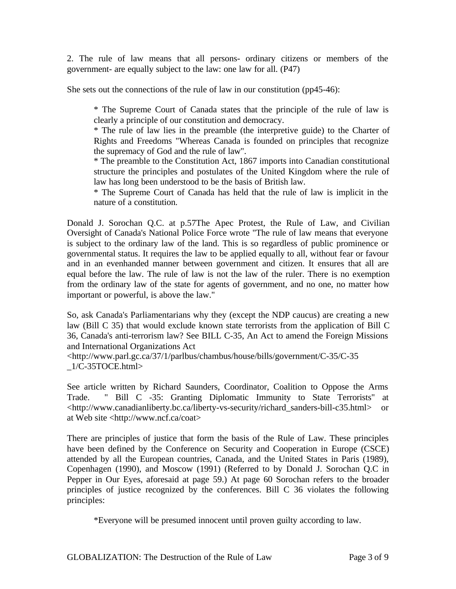2. The rule of law means that all persons- ordinary citizens or members of the government- are equally subject to the law: one law for all. (P47)

She sets out the connections of the rule of law in our constitution (pp45-46):

\* The Supreme Court of Canada states that the principle of the rule of law is clearly a principle of our constitution and democracy.

\* The rule of law lies in the preamble (the interpretive guide) to the Charter of Rights and Freedoms "Whereas Canada is founded on principles that recognize the supremacy of God and the rule of law".

\* The preamble to the Constitution Act, 1867 imports into Canadian constitutional structure the principles and postulates of the United Kingdom where the rule of law has long been understood to be the basis of British law.

\* The Supreme Court of Canada has held that the rule of law is implicit in the nature of a constitution.

Donald J. Sorochan Q.C. at p.57The Apec Protest, the Rule of Law, and Civilian Oversight of Canada's National Police Force wrote "The rule of law means that everyone is subject to the ordinary law of the land. This is so regardless of public prominence or governmental status. It requires the law to be applied equally to all, without fear or favour and in an evenhanded manner between government and citizen. It ensures that all are equal before the law. The rule of law is not the law of the ruler. There is no exemption from the ordinary law of the state for agents of government, and no one, no matter how important or powerful, is above the law."

So, ask Canada's Parliamentarians why they (except the NDP caucus) are creating a new law (Bill C 35) that would exclude known state terrorists from the application of Bill C 36, Canada's anti-terrorism law? See BILL C-35, An Act to amend the Foreign Missions and International Organizations Act

<http://www.parl.gc.ca/37/1/parlbus/chambus/house/bills/government/C-35/C-35 \_1/C-35TOCE.html>

See article written by Richard Saunders, Coordinator, Coalition to Oppose the Arms Trade. " Bill C -35: Granting Diplomatic Immunity to State Terrorists" at <http://www.canadianliberty.bc.ca/liberty-vs-security/richard\_sanders-bill-c35.html> or at Web site <http://www.ncf.ca/coat>

There are principles of justice that form the basis of the Rule of Law. These principles have been defined by the Conference on Security and Cooperation in Europe (CSCE) attended by all the European countries, Canada, and the United States in Paris (1989), Copenhagen (1990), and Moscow (1991) (Referred to by Donald J. Sorochan Q.C in Pepper in Our Eyes, aforesaid at page 59.) At page 60 Sorochan refers to the broader principles of justice recognized by the conferences. Bill C 36 violates the following principles:

\*Everyone will be presumed innocent until proven guilty according to law.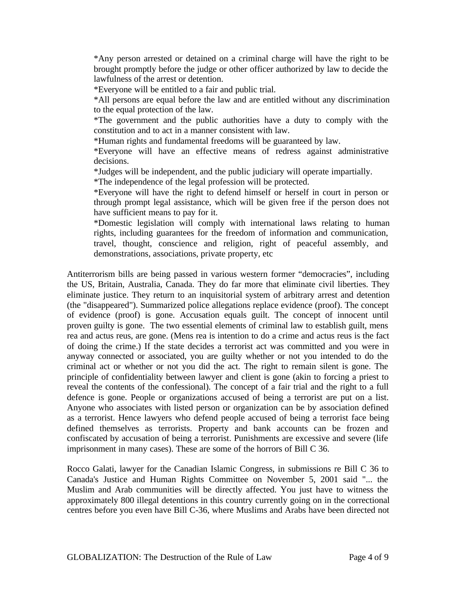\*Any person arrested or detained on a criminal charge will have the right to be brought promptly before the judge or other officer authorized by law to decide the lawfulness of the arrest or detention.

\*Everyone will be entitled to a fair and public trial.

\*All persons are equal before the law and are entitled without any discrimination to the equal protection of the law.

\*The government and the public authorities have a duty to comply with the constitution and to act in a manner consistent with law.

\*Human rights and fundamental freedoms will be guaranteed by law.

\*Everyone will have an effective means of redress against administrative decisions.

\*Judges will be independent, and the public judiciary will operate impartially.

\*The independence of the legal profession will be protected.

\*Everyone will have the right to defend himself or herself in court in person or through prompt legal assistance, which will be given free if the person does not have sufficient means to pay for it.

\*Domestic legislation will comply with international laws relating to human rights, including guarantees for the freedom of information and communication, travel, thought, conscience and religion, right of peaceful assembly, and demonstrations, associations, private property, etc

Antiterrorism bills are being passed in various western former "democracies", including the US, Britain, Australia, Canada. They do far more that eliminate civil liberties. They eliminate justice. They return to an inquisitorial system of arbitrary arrest and detention (the "disappeared"). Summarized police allegations replace evidence (proof). The concept of evidence (proof) is gone. Accusation equals guilt. The concept of innocent until proven guilty is gone. The two essential elements of criminal law to establish guilt, mens rea and actus reus, are gone. (Mens rea is intention to do a crime and actus reus is the fact of doing the crime.) If the state decides a terrorist act was committed and you were in anyway connected or associated, you are guilty whether or not you intended to do the criminal act or whether or not you did the act. The right to remain silent is gone. The principle of confidentiality between lawyer and client is gone (akin to forcing a priest to reveal the contents of the confessional). The concept of a fair trial and the right to a full defence is gone. People or organizations accused of being a terrorist are put on a list. Anyone who associates with listed person or organization can be by association defined as a terrorist. Hence lawyers who defend people accused of being a terrorist face being defined themselves as terrorists. Property and bank accounts can be frozen and confiscated by accusation of being a terrorist. Punishments are excessive and severe (life imprisonment in many cases). These are some of the horrors of Bill C 36.

Rocco Galati, lawyer for the Canadian Islamic Congress, in submissions re Bill C 36 to Canada's Justice and Human Rights Committee on November 5, 2001 said "... the Muslim and Arab communities will be directly affected. You just have to witness the approximately 800 illegal detentions in this country currently going on in the correctional centres before you even have Bill C-36, where Muslims and Arabs have been directed not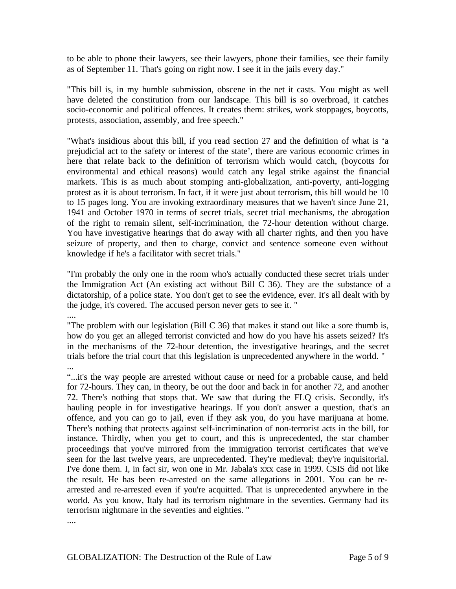to be able to phone their lawyers, see their lawyers, phone their families, see their family as of September 11. That's going on right now. I see it in the jails every day."

"This bill is, in my humble submission, obscene in the net it casts. You might as well have deleted the constitution from our landscape. This bill is so overbroad, it catches socio-economic and political offences. It creates them: strikes, work stoppages, boycotts, protests, association, assembly, and free speech."

"What's insidious about this bill, if you read section 27 and the definition of what is 'a prejudicial act to the safety or interest of the state', there are various economic crimes in here that relate back to the definition of terrorism which would catch, (boycotts for environmental and ethical reasons) would catch any legal strike against the financial markets. This is as much about stomping anti-globalization, anti-poverty, anti-logging protest as it is about terrorism. In fact, if it were just about terrorism, this bill would be 10 to 15 pages long. You are invoking extraordinary measures that we haven't since June 21, 1941 and October 1970 in terms of secret trials, secret trial mechanisms, the abrogation of the right to remain silent, self-incrimination, the 72-hour detention without charge. You have investigative hearings that do away with all charter rights, and then you have seizure of property, and then to charge, convict and sentence someone even without knowledge if he's a facilitator with secret trials."

"I'm probably the only one in the room who's actually conducted these secret trials under the Immigration Act (An existing act without Bill C 36). They are the substance of a dictatorship, of a police state. You don't get to see the evidence, ever. It's all dealt with by the judge, it's covered. The accused person never gets to see it. "

....

"The problem with our legislation (Bill C 36) that makes it stand out like a sore thumb is, how do you get an alleged terrorist convicted and how do you have his assets seized? It's in the mechanisms of the 72-hour detention, the investigative hearings, and the secret trials before the trial court that this legislation is unprecedented anywhere in the world. "

...

"...it's the way people are arrested without cause or need for a probable cause, and held for 72-hours. They can, in theory, be out the door and back in for another 72, and another 72. There's nothing that stops that. We saw that during the FLQ crisis. Secondly, it's hauling people in for investigative hearings. If you don't answer a question, that's an offence, and you can go to jail, even if they ask you, do you have marijuana at home. There's nothing that protects against self-incrimination of non-terrorist acts in the bill, for instance. Thirdly, when you get to court, and this is unprecedented, the star chamber proceedings that you've mirrored from the immigration terrorist certificates that we've seen for the last twelve years, are unprecedented. They're medieval; they're inquisitorial. I've done them. I, in fact sir, won one in Mr. Jabala's xxx case in 1999. CSIS did not like the result. He has been re-arrested on the same allegations in 2001. You can be rearrested and re-arrested even if you're acquitted. That is unprecedented anywhere in the world. As you know, Italy had its terrorism nightmare in the seventies. Germany had its terrorism nightmare in the seventies and eighties. "

....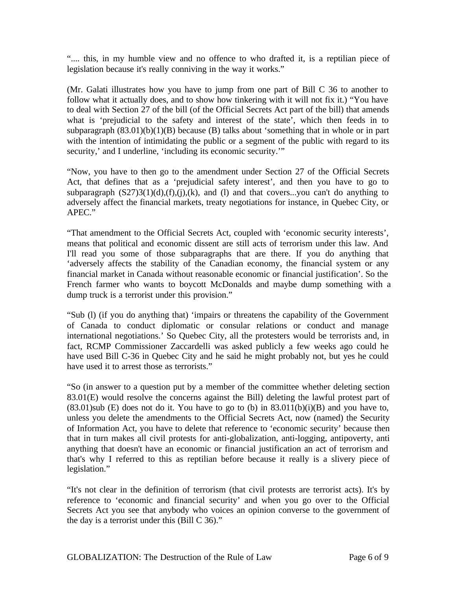".... this, in my humble view and no offence to who drafted it, is a reptilian piece of legislation because it's really conniving in the way it works."

(Mr. Galati illustrates how you have to jump from one part of Bill C 36 to another to follow what it actually does, and to show how tinkering with it will not fix it.) "You have to deal with Section 27 of the bill (of the Official Secrets Act part of the bill) that amends what is 'prejudicial to the safety and interest of the state', which then feeds in to subparagraph  $(83.01)(b)(1)(B)$  because (B) talks about 'something that in whole or in part with the intention of intimidating the public or a segment of the public with regard to its security,' and I underline, 'including its economic security.'"

"Now, you have to then go to the amendment under Section 27 of the Official Secrets Act, that defines that as a 'prejudicial safety interest', and then you have to go to subparagraph  $(S27)3(1)(d)$ ,(f),(j),(k), and (l) and that covers...you can't do anything to adversely affect the financial markets, treaty negotiations for instance, in Quebec City, or APEC."

"That amendment to the Official Secrets Act, coupled with 'economic security interests', means that political and economic dissent are still acts of terrorism under this law. And I'll read you some of those subparagraphs that are there. If you do anything that 'adversely affects the stability of the Canadian economy, the financial system or any financial market in Canada without reasonable economic or financial justification'. So the French farmer who wants to boycott McDonalds and maybe dump something with a dump truck is a terrorist under this provision."

"Sub (l) (if you do anything that) 'impairs or threatens the capability of the Government of Canada to conduct diplomatic or consular relations or conduct and manage international negotiations.' So Quebec City, all the protesters would be terrorists and, in fact, RCMP Commissioner Zaccardelli was asked publicly a few weeks ago could he have used Bill C-36 in Quebec City and he said he might probably not, but yes he could have used it to arrest those as terrorists."

"So (in answer to a question put by a member of the committee whether deleting section 83.01(E) would resolve the concerns against the Bill) deleting the lawful protest part of  $(83.01)$ sub (E) does not do it. You have to go to (b) in  $83.011(b)(i)(B)$  and you have to, unless you delete the amendments to the Official Secrets Act, now (named) the Security of Information Act, you have to delete that reference to 'economic security' because then that in turn makes all civil protests for anti-globalization, anti-logging, antipoverty, anti anything that doesn't have an economic or financial justification an act of terrorism and that's why I referred to this as reptilian before because it really is a slivery piece of legislation."

"It's not clear in the definition of terrorism (that civil protests are terrorist acts). It's by reference to 'economic and financial security' and when you go over to the Official Secrets Act you see that anybody who voices an opinion converse to the government of the day is a terrorist under this (Bill C 36)."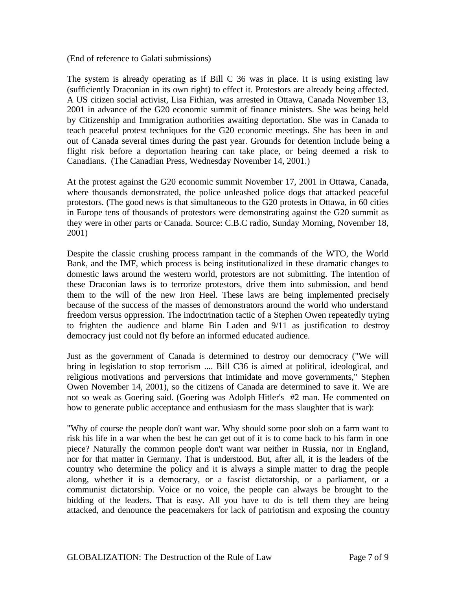(End of reference to Galati submissions)

The system is already operating as if Bill C 36 was in place. It is using existing law (sufficiently Draconian in its own right) to effect it. Protestors are already being affected. A US citizen social activist, Lisa Fithian, was arrested in Ottawa, Canada November 13, 2001 in advance of the G20 economic summit of finance ministers. She was being held by Citizenship and Immigration authorities awaiting deportation. She was in Canada to teach peaceful protest techniques for the G20 economic meetings. She has been in and out of Canada several times during the past year. Grounds for detention include being a flight risk before a deportation hearing can take place, or being deemed a risk to Canadians. (The Canadian Press, Wednesday November 14, 2001.)

At the protest against the G20 economic summit November 17, 2001 in Ottawa, Canada, where thousands demonstrated, the police unleashed police dogs that attacked peaceful protestors. (The good news is that simultaneous to the G20 protests in Ottawa, in 60 cities in Europe tens of thousands of protestors were demonstrating against the G20 summit as they were in other parts or Canada. Source: C.B.C radio, Sunday Morning, November 18, 2001)

Despite the classic crushing process rampant in the commands of the WTO, the World Bank, and the IMF, which process is being institutionalized in these dramatic changes to domestic laws around the western world, protestors are not submitting. The intention of these Draconian laws is to terrorize protestors, drive them into submission, and bend them to the will of the new Iron Heel. These laws are being implemented precisely because of the success of the masses of demonstrators around the world who understand freedom versus oppression. The indoctrination tactic of a Stephen Owen repeatedly trying to frighten the audience and blame Bin Laden and 9/11 as justification to destroy democracy just could not fly before an informed educated audience.

Just as the government of Canada is determined to destroy our democracy ("We will bring in legislation to stop terrorism .... Bill C36 is aimed at political, ideological, and religious motivations and perversions that intimidate and move governments," Stephen Owen November 14, 2001), so the citizens of Canada are determined to save it. We are not so weak as Goering said. (Goering was Adolph Hitler's #2 man. He commented on how to generate public acceptance and enthusiasm for the mass slaughter that is war):

"Why of course the people don't want war. Why should some poor slob on a farm want to risk his life in a war when the best he can get out of it is to come back to his farm in one piece? Naturally the common people don't want war neither in Russia, nor in England, nor for that matter in Germany. That is understood. But, after all, it is the leaders of the country who determine the policy and it is always a simple matter to drag the people along, whether it is a democracy, or a fascist dictatorship, or a parliament, or a communist dictatorship. Voice or no voice, the people can always be brought to the bidding of the leaders. That is easy. All you have to do is tell them they are being attacked, and denounce the peacemakers for lack of patriotism and exposing the country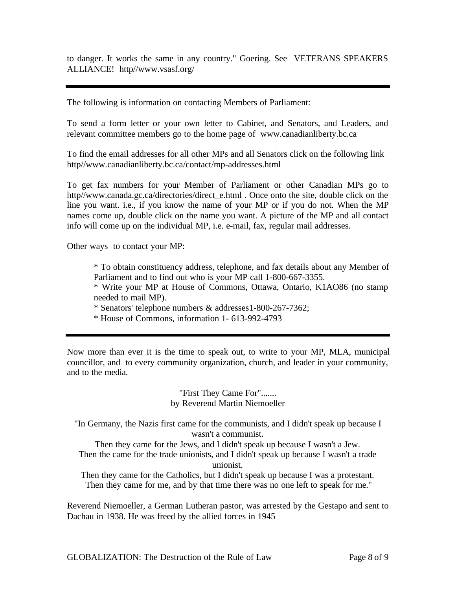to danger. It works the same in any country." Goering. See VETERANS SPEAKERS ALLIANCE! http//www.vsasf.org/

The following is information on contacting Members of Parliament:

To send a form letter or your own letter to Cabinet, and Senators, and Leaders, and relevant committee members go to the home page of www.canadianliberty.bc.ca

To find the email addresses for all other MPs and all Senators click on the following link http//www.canadianliberty.bc.ca/contact/mp-addresses.html

To get fax numbers for your Member of Parliament or other Canadian MPs go to http//www.canada.gc.ca/directories/direct\_e.html . Once onto the site, double click on the line you want. i.e., if you know the name of your MP or if you do not. When the MP names come up, double click on the name you want. A picture of the MP and all contact info will come up on the individual MP, i.e. e-mail, fax, regular mail addresses.

Other ways to contact your MP:

\* To obtain constituency address, telephone, and fax details about any Member of Parliament and to find out who is your MP call 1-800-667-3355.

\* Write your MP at House of Commons, Ottawa, Ontario, K1AO86 (no stamp needed to mail MP).

\* Senators' telephone numbers & addresses1-800-267-7362;

\* House of Commons, information 1- 613-992-4793

Now more than ever it is the time to speak out, to write to your MP, MLA, municipal councillor, and to every community organization, church, and leader in your community, and to the media.

## "First They Came For"....... by Reverend Martin Niemoeller

"In Germany, the Nazis first came for the communists, and I didn't speak up because I wasn't a communist.

Then they came for the Jews, and I didn't speak up because I wasn't a Jew. Then the came for the trade unionists, and I didn't speak up because I wasn't a trade unionist.

Then they came for the Catholics, but I didn't speak up because I was a protestant. Then they came for me, and by that time there was no one left to speak for me."

Reverend Niemoeller, a German Lutheran pastor, was arrested by the Gestapo and sent to Dachau in 1938. He was freed by the allied forces in 1945